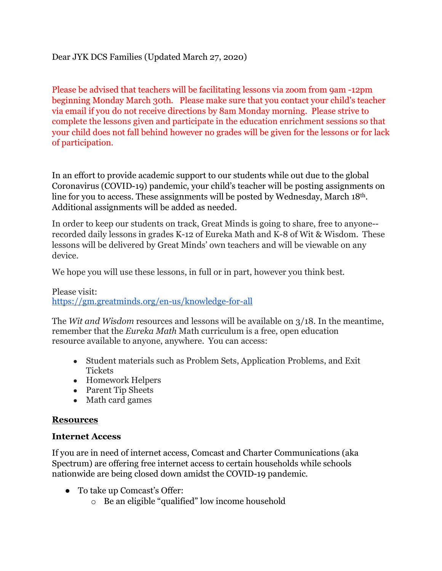## Dear JYK DCS Families (Updated March 27, 2020)

Please be advised that teachers will be facilitating lessons via zoom from 9am -12pm beginning Monday March 30th. Please make sure that you contact your child's teacher via email if you do not receive directions by 8am Monday morning. Please strive to complete the lessons given and participate in the education enrichment sessions so that your child does not fall behind however no grades will be given for the lessons or for lack of participation.

In an effort to provide academic support to our students while out due to the global Coronavirus (COVID-19) pandemic, your child's teacher will be posting assignments on line for you to access. These assignments will be posted by Wednesday, March 18<sup>th</sup>. Additional assignments will be added as needed.

In order to keep our students on track, Great Minds is going to share, free to anyone- recorded daily lessons in grades K-12 of Eureka Math and K-8 of Wit & Wisdom. These lessons will be delivered by Great Minds' own teachers and will be viewable on any device.

We hope you will use these lessons, in full or in part, however you think best.

Please visit: https://gm.greatminds.org/en-us/knowledge-for-all

The *Wit and Wisdom* resources and lessons will be available on 3/18. In the meantime, remember that the *Eureka Math* Math curriculum is a free, open education resource available to anyone, anywhere. You can access:

- Student materials such as Problem Sets, Application Problems, and Exit **Tickets**
- Homework Helpers
- Parent Tip Sheets
- Math card games

## **Resources**

## **Internet Access**

If you are in need of internet access, Comcast and Charter Communications (aka Spectrum) are offering free internet access to certain households while schools nationwide are being closed down amidst the COVID-19 pandemic.

- To take up Comcast's Offer:
	- o Be an eligible "qualified" low income household